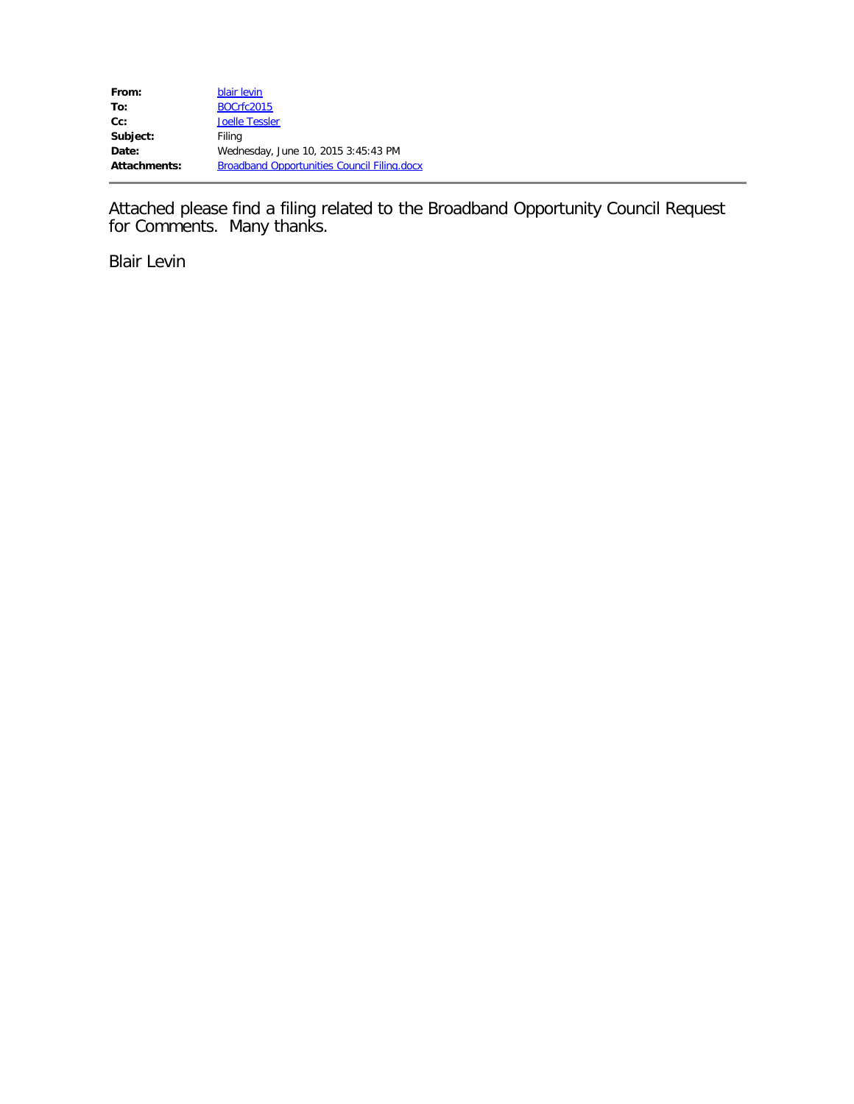Attached please find a filing related to the Broadband Opportunity Council Request for Comments. Many thanks.

Blair Levin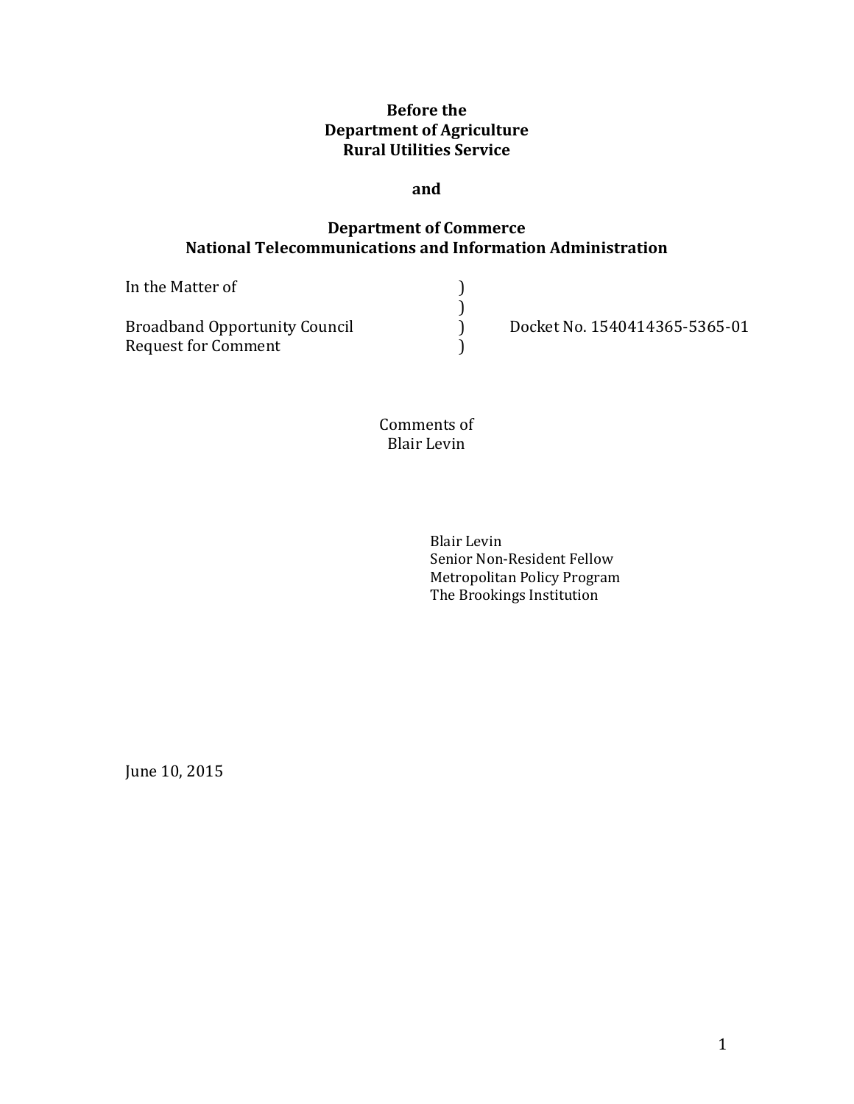# **Before the Department of Agriculture Rural Utilities Service**

#### **and**

## **Department of Commerce National Telecommunications and Information Administration**

| In the Matter of                                            |                               |
|-------------------------------------------------------------|-------------------------------|
| <b>Broadband Opportunity Council</b><br>Request for Comment | Docket No. 1540414365-5365-01 |

Comments of Blair Levin

> Blair Levin Senior Non-Resident Fellow Metropolitan Policy Program The Brookings Institution

June 10, 2015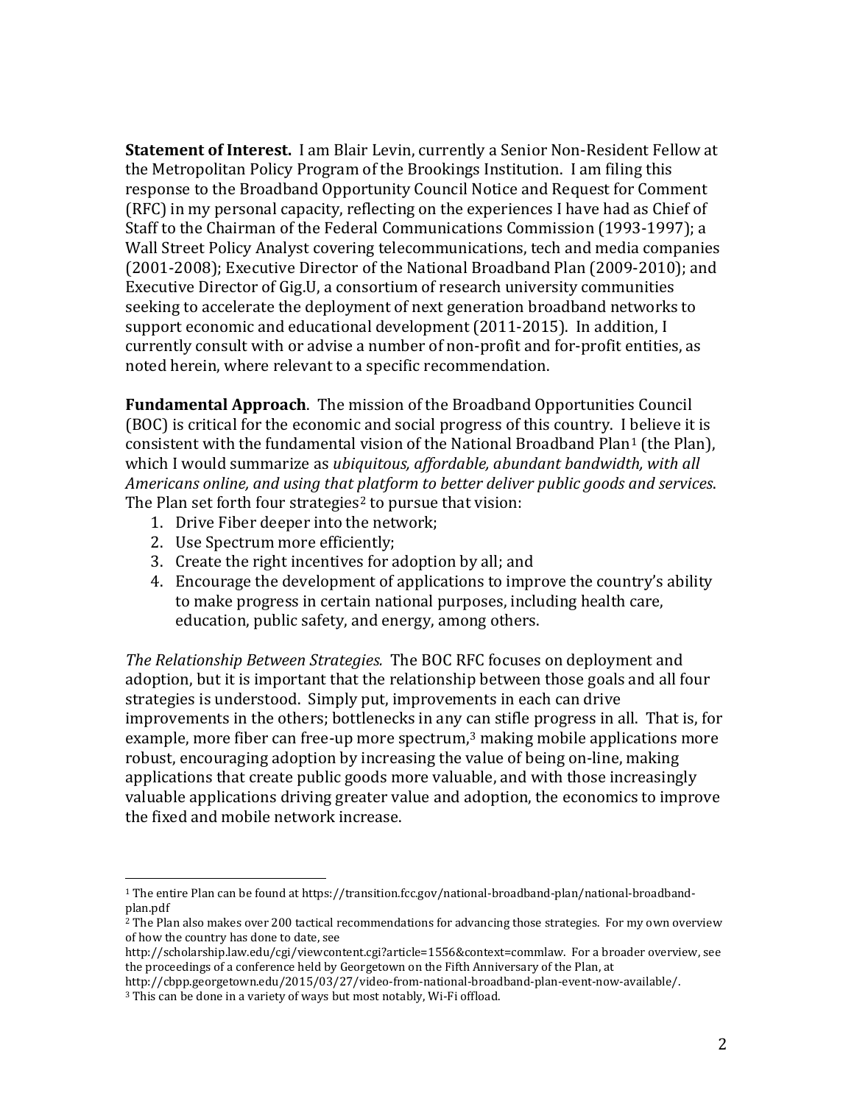**Statement of Interest.** I am Blair Levin, currently a Senior Non-Resident Fellow at the Metropolitan Policy Program of the Brookings Institution. I am filing this response to the Broadband Opportunity Council Notice and Request for Comment (RFC) in my personal capacity, reflecting on the experiences I have had as Chief of Staff to the Chairman of the Federal Communications Commission (1993-1997); a Wall Street Policy Analyst covering telecommunications, tech and media companies (2001-2008); Executive Director of the National Broadband Plan (2009-2010); and Executive Director of Gig.U, a consortium of research university communities seeking to accelerate the deployment of next generation broadband networks to support economic and educational development (2011-2015). In addition, I currently consult with or advise a number of non-profit and for-profit entities, as noted herein, where relevant to a specific recommendation.

**Fundamental Approach**. The mission of the Broadband Opportunities Council (BOC) is critical for the economic and social progress of this country. I believe it is consistent with the fundamental vision of the National Broadband Plan<sup>[1](#page-2-0)</sup> (the Plan), which I would summarize as *ubiquitous, affordable, abundant bandwidth, with all Americans online, and using that platform to better deliver public goods and services*. The Plan set forth four strategies<sup>[2](#page-2-1)</sup> to pursue that vision:

- 1. Drive Fiber deeper into the network;
- 2. Use Spectrum more efficiently;
- 3. Create the right incentives for adoption by all; and
- 4. Encourage the development of applications to improve the country's ability to make progress in certain national purposes, including health care, education, public safety, and energy, among others.

*The Relationship Between Strategies.* The BOC RFC focuses on deployment and adoption, but it is important that the relationship between those goals and all four strategies is understood. Simply put, improvements in each can drive improvements in the others; bottlenecks in any can stifle progress in all. That is, for example, more fiber can free-up more spectrum,<sup>[3](#page-2-2)</sup> making mobile applications more robust, encouraging adoption by increasing the value of being on-line, making applications that create public goods more valuable, and with those increasingly valuable applications driving greater value and adoption, the economics to improve the fixed and mobile network increase.

<span id="page-2-0"></span> <sup>1</sup> The entire Plan can be found at https://transition.fcc.gov/national-broadband-plan/national-broadbandplan.pdf

<span id="page-2-1"></span><sup>&</sup>lt;sup>2</sup> The Plan also makes over 200 tactical recommendations for advancing those strategies. For my own overview of how the country has done to date, see

http://scholarship.law.edu/cgi/viewcontent.cgi?article=1556&context=commlaw. For a broader overview, see the proceedings of a conference held by Georgetown on the Fifth Anniversary of the Plan, at

http://cbpp.georgetown.edu/2015/03/27/video-from-national-broadband-plan-event-now-available/.

<span id="page-2-2"></span><sup>3</sup> This can be done in a variety of ways but most notably, Wi-Fi offload.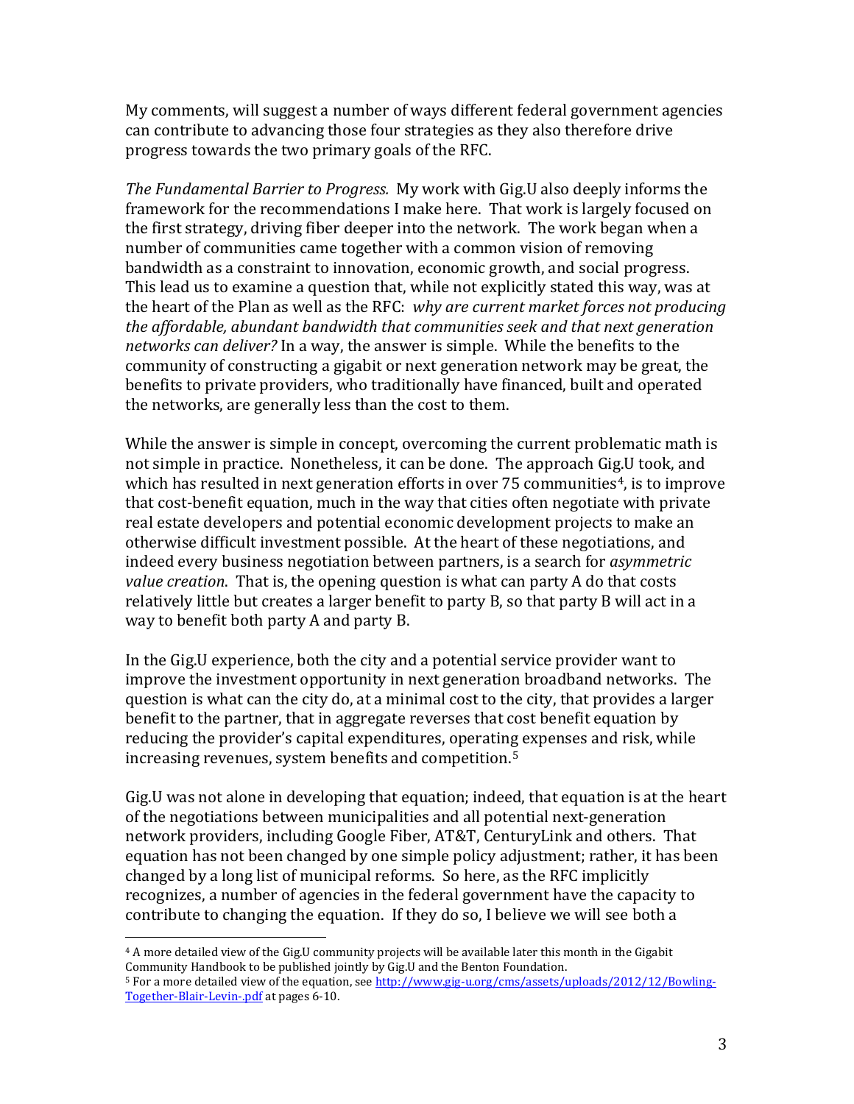My comments, will suggest a number of ways different federal government agencies can contribute to advancing those four strategies as they also therefore drive progress towards the two primary goals of the RFC.

*The Fundamental Barrier to Progress.* My work with Gig.U also deeply informs the framework for the recommendations I make here. That work is largely focused on the first strategy, driving fiber deeper into the network. The work began when a number of communities came together with a common vision of removing bandwidth as a constraint to innovation, economic growth, and social progress. This lead us to examine a question that, while not explicitly stated this way, was at the heart of the Plan as well as the RFC: *why are current market forces not producing the affordable, abundant bandwidth that communities seek and that next generation networks can deliver?* In a way, the answer is simple. While the benefits to the community of constructing a gigabit or next generation network may be great, the benefits to private providers, who traditionally have financed, built and operated the networks, are generally less than the cost to them.

While the answer is simple in concept, overcoming the current problematic math is not simple in practice. Nonetheless, it can be done. The approach Gig.U took, and which has resulted in next generation efforts in over  $75$  communities<sup>4</sup>, is to improve that cost-benefit equation, much in the way that cities often negotiate with private real estate developers and potential economic development projects to make an otherwise difficult investment possible. At the heart of these negotiations, and indeed every business negotiation between partners, is a search for *asymmetric value creation*. That is, the opening question is what can party A do that costs relatively little but creates a larger benefit to party B, so that party B will act in a way to benefit both party A and party B.

In the Gig.U experience, both the city and a potential service provider want to improve the investment opportunity in next generation broadband networks. The question is what can the city do, at a minimal cost to the city, that provides a larger benefit to the partner, that in aggregate reverses that cost benefit equation by reducing the provider's capital expenditures, operating expenses and risk, while increasing revenues, system benefits and competition.[5](#page-3-1)

Gig.U was not alone in developing that equation; indeed, that equation is at the heart of the negotiations between municipalities and all potential next-generation network providers, including Google Fiber, AT&T, CenturyLink and others. That equation has not been changed by one simple policy adjustment; rather, it has been changed by a long list of municipal reforms. So here, as the RFC implicitly recognizes, a number of agencies in the federal government have the capacity to contribute to changing the equation. If they do so, I believe we will see both a

<span id="page-3-0"></span> <sup>4</sup> <sup>A</sup> more detailed view of the Gig.U community projects will be available later this month in the Gigabit Community Handbook to be published jointly by Gig.U and the Benton Foundation.

<span id="page-3-1"></span><sup>&</sup>lt;sup>5</sup> For a more detailed view of the equation, se[e http://www.gig-u.org/cms/assets/uploads/2012/12/Bowling-](http://www.gig-u.org/cms/assets/uploads/2012/12/Bowling-Together-Blair-Levin-.pdf)[Together-Blair-Levin-.pdf](http://www.gig-u.org/cms/assets/uploads/2012/12/Bowling-Together-Blair-Levin-.pdf) at pages 6-10.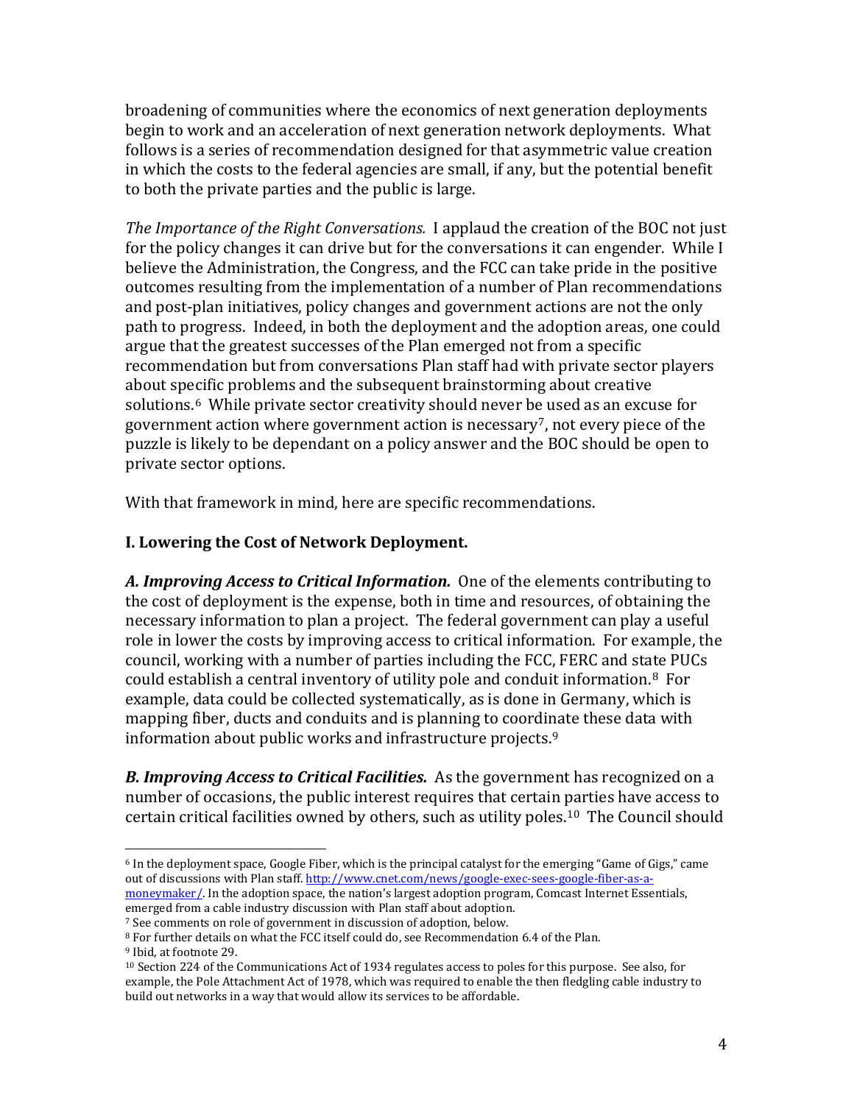broadening of communities where the economics of next generation deployments begin to work and an acceleration of next generation network deployments. What follows is a series of recommendation designed for that asymmetric value creation in which the costs to the federal agencies are small, if any, but the potential benefit to both the private parties and the public is large.

*The Importance of the Right Conversations.* I applaud the creation of the BOC not just for the policy changes it can drive but for the conversations it can engender. While I believe the Administration, the Congress, and the FCC can take pride in the positive outcomes resulting from the implementation of a number of Plan recommendations and post-plan initiatives, policy changes and government actions are not the only path to progress. Indeed, in both the deployment and the adoption areas, one could argue that the greatest successes of the Plan emerged not from a specific recommendation but from conversations Plan staff had with private sector players about specific problems and the subsequent brainstorming about creative solutions.<sup>[6](#page-4-0)</sup> Whil[e](#page-4-1) private sector creativity should never be used as an excuse for government action where government action is necessary7, not every piece of the puzzle is likely to be dependant on a policy answer and the BOC should be open to private sector options.

With that framework in mind, here are specific recommendations.

# **I. Lowering the Cost of Network Deployment.**

*A. Improving Access to Critical Information.* One of the elements contributing to the cost of deployment is the expense, both in time and resources, of obtaining the necessary information to plan a project. The federal government can play a useful role in lower the costs by improving access to critical information. For example, the council, working with a number of parties including the FCC, FERC and state PUCs could establish a central inventory of utility pole and conduit information.[8](#page-4-2) For example, data could be collected systematically, as is done in Germany, which is mapping fiber, ducts and conduits and is planning to coordinate these data with information about public works and infrastructure projects.[9](#page-4-3)

*B. Improving Access to Critical Facilities.* As the government has recognized on a number of occasions, the public interest requires that certain parties have access to certain critical facilities owned by others, such as utility poles.[10](#page-4-4) The Council should

<span id="page-4-0"></span> <sup>6</sup> In the deployment space, Google Fiber, which is the principal catalyst for the emerging "Game of Gigs," came out of discussions with Plan staff[. http://www.cnet.com/news/google-exec-sees-google-fiber-as-a](http://www.cnet.com/news/google-exec-sees-google-fiber-as-a-moneymaker/)[moneymaker/.](http://www.cnet.com/news/google-exec-sees-google-fiber-as-a-moneymaker/) In the adoption space, the nation's largest adoption program, Comcast Internet Essentials, emerged from a cable industry discussion with Plan staff about adoption.

<span id="page-4-1"></span><sup>7</sup> See comments on role of government in discussion of adoption, below.

<span id="page-4-2"></span><sup>8</sup> For further details on what the FCC itself could do, see Recommendation 6.4 of the Plan.

<span id="page-4-3"></span><sup>9</sup> Ibid, at footnote 29.

<span id="page-4-4"></span><sup>10</sup> Section 224 of the Communications Act of 1934 regulates access to poles for this purpose. See also, for example, the Pole Attachment Act of 1978, which was required to enable the then fledgling cable industry to build out networks in a way that would allow its services to be affordable.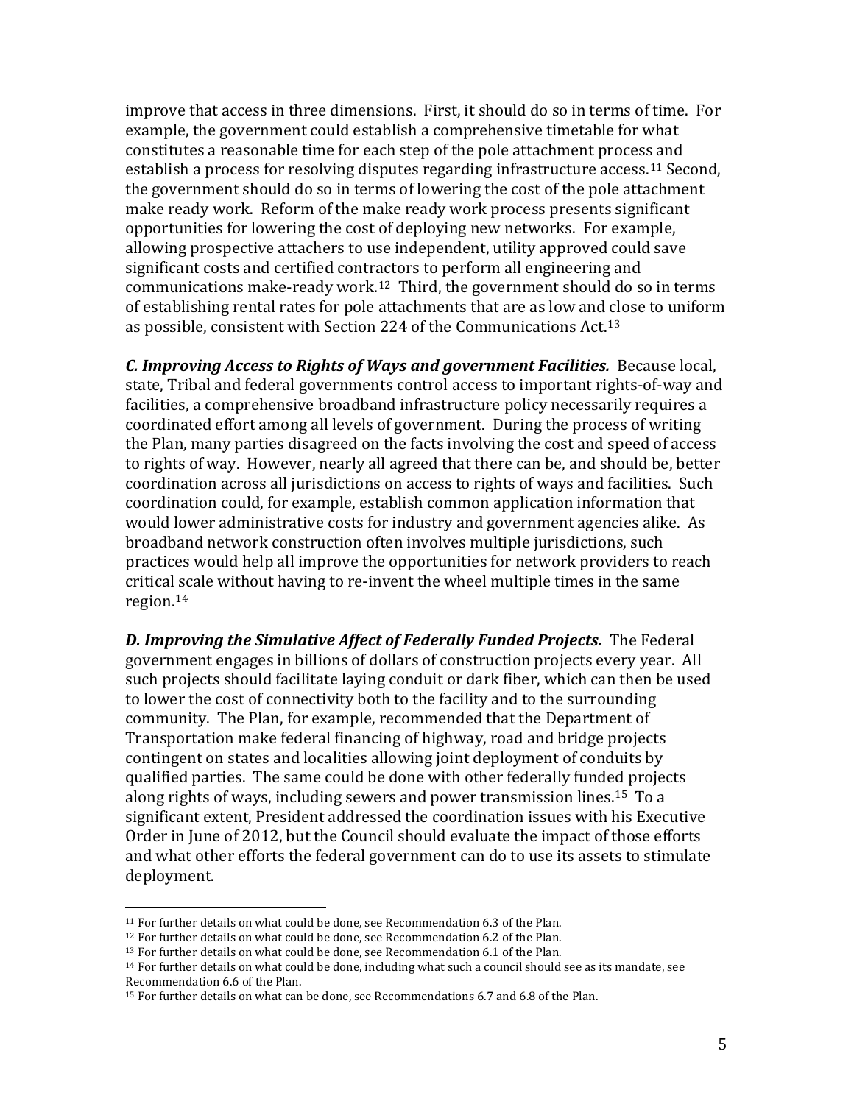improve that access in three dimensions. First, it should do so in terms of time. For example, the government could establish a comprehensive timetable for what constitutes a reasonable time for each step of the pole attachment process and establish a process for resolving disputes regarding infrastructure access.[11](#page-5-0) Second, the government should do so in terms of lowering the cost of the pole attachment make ready work. Reform of the make ready work process presents significant opportunities for lowering the cost of deploying new networks. For example, allowing prospective attachers to use independent, utility approved could save significant costs and certified contractors to perform all engineering and communications make-ready work.[12](#page-5-1) Third, the government should do so in terms of establishing rental rates for pole attachments that are as low and close to uniform as possible, consistent with Section 224 of the Communications Act.[13](#page-5-2)

*C. Improving Access to Rights of Ways and government Facilities.* Because local, state, Tribal and federal governments control access to important rights-of-way and facilities, a comprehensive broadband infrastructure policy necessarily requires a coordinated effort among all levels of government. During the process of writing the Plan, many parties disagreed on the facts involving the cost and speed of access to rights of way. However, nearly all agreed that there can be, and should be, better coordination across all jurisdictions on access to rights of ways and facilities. Such coordination could, for example, establish common application information that would lower administrative costs for industry and government agencies alike. As broadband network construction often involves multiple jurisdictions, such practices would help all improve the opportunities for network providers to reach critical scale without having to re-invent the wheel multiple times in the same region.[14](#page-5-3)

*D. Improving the Simulative Affect of Federally Funded Projects.* The Federal government engages in billions of dollars of construction projects every year. All such projects should facilitate laying conduit or dark fiber, which can then be used to lower the cost of connectivity both to the facility and to the surrounding community. The Plan, for example, recommended that the Department of Transportation make federal financing of highway, road and bridge projects contingent on states and localities allowing joint deployment of conduits by qualified parties. The same could be done with other federally funded projects along rights of ways, including sewers and power transmission lines.[15](#page-5-4) To a significant extent, President addressed the coordination issues with his Executive Order in June of 2012, but the Council should evaluate the impact of those efforts and what other efforts the federal government can do to use its assets to stimulate deployment.

<span id="page-5-0"></span> <sup>11</sup> For further details on what could be done, see Recommendation 6.3 of the Plan.

<span id="page-5-1"></span><sup>&</sup>lt;sup>12</sup> For further details on what could be done, see Recommendation 6.2 of the Plan.

<span id="page-5-2"></span><sup>&</sup>lt;sup>13</sup> For further details on what could be done, see Recommendation 6.1 of the Plan.

<span id="page-5-3"></span><sup>14</sup> For further details on what could be done, including what such a council should see as its mandate, see Recommendation 6.6 of the Plan.

<span id="page-5-4"></span><sup>15</sup> For further details on what can be done, see Recommendations 6.7 and 6.8 of the Plan.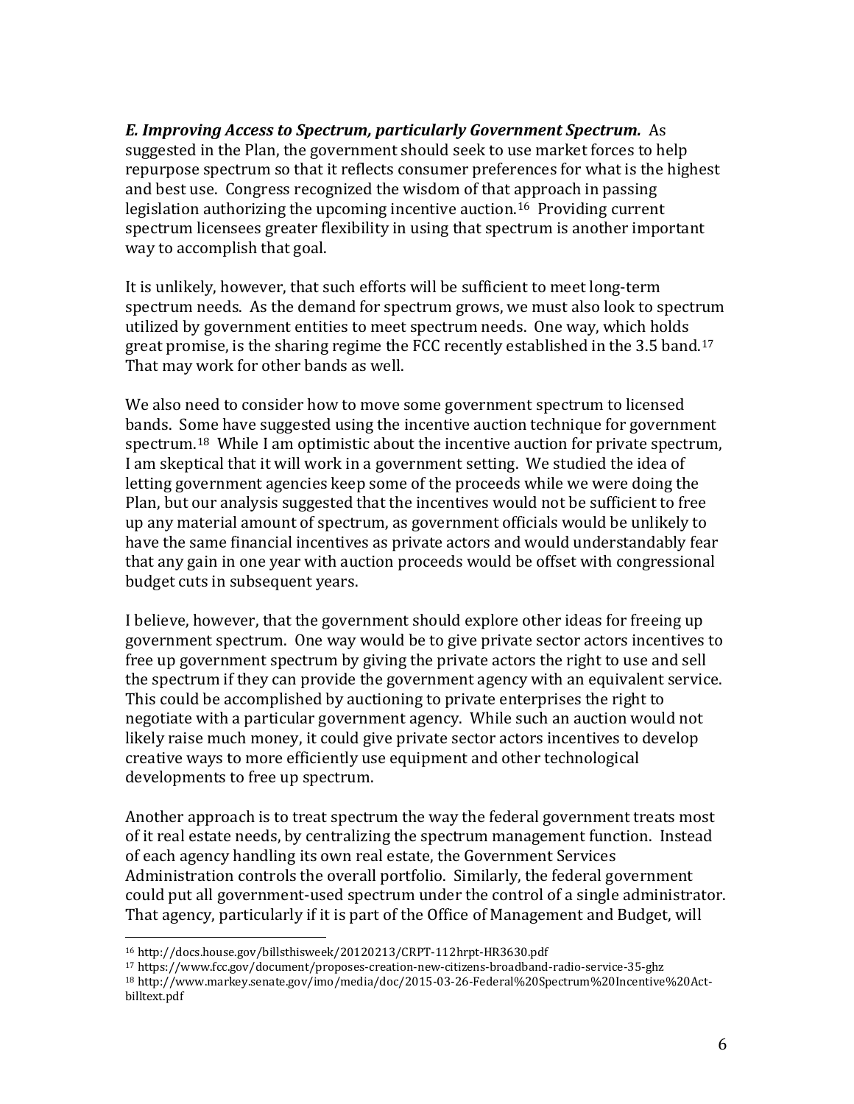*E. Improving Access to Spectrum, particularly Government Spectrum.* As suggested in the Plan, the government should seek to use market forces to help repurpose spectrum so that it reflects consumer preferences for what is the highest and best use. Congress recognized the wisdom of that approach in passing legislation authorizing the upcoming incentive auction. [16](#page-6-0) Providing current spectrum licensees greater flexibility in using that spectrum is another important way to accomplish that goal.

It is unlikely, however, that such efforts will be sufficient to meet long-term spectrum needs. As the demand for spectrum grows, we must also look to spectrum utilized by government entities to meet spectrum needs. One way, which holds great promise, is the sharing regime the FCC recently established in the 3.5 band.[17](#page-6-1) That may work for other bands as well.

We also need to consider how to move some government spectrum to licensed bands. Some have suggested using the incentive auction technique for government spectrum.[18](#page-6-2) While I am optimistic about the incentive auction for private spectrum, I am skeptical that it will work in a government setting. We studied the idea of letting government agencies keep some of the proceeds while we were doing the Plan, but our analysis suggested that the incentives would not be sufficient to free up any material amount of spectrum, as government officials would be unlikely to have the same financial incentives as private actors and would understandably fear that any gain in one year with auction proceeds would be offset with congressional budget cuts in subsequent years.

I believe, however, that the government should explore other ideas for freeing up government spectrum. One way would be to give private sector actors incentives to free up government spectrum by giving the private actors the right to use and sell the spectrum if they can provide the government agency with an equivalent service. This could be accomplished by auctioning to private enterprises the right to negotiate with a particular government agency. While such an auction would not likely raise much money, it could give private sector actors incentives to develop creative ways to more efficiently use equipment and other technological developments to free up spectrum.

Another approach is to treat spectrum the way the federal government treats most of it real estate needs, by centralizing the spectrum management function. Instead of each agency handling its own real estate, the Government Services Administration controls the overall portfolio. Similarly, the federal government could put all government-used spectrum under the control of a single administrator. That agency, particularly if it is part of the Office of Management and Budget, will

<span id="page-6-0"></span> <sup>16</sup> http://docs.house.gov/billsthisweek/20120213/CRPT-112hrpt-HR3630.pdf

<span id="page-6-1"></span><sup>17</sup> https://www.fcc.gov/document/proposes-creation-new-citizens-broadband-radio-service-35-ghz

<span id="page-6-2"></span><sup>18</sup> http://www.markey.senate.gov/imo/media/doc/2015-03-26-Federal%20Spectrum%20Incentive%20Actbilltext.pdf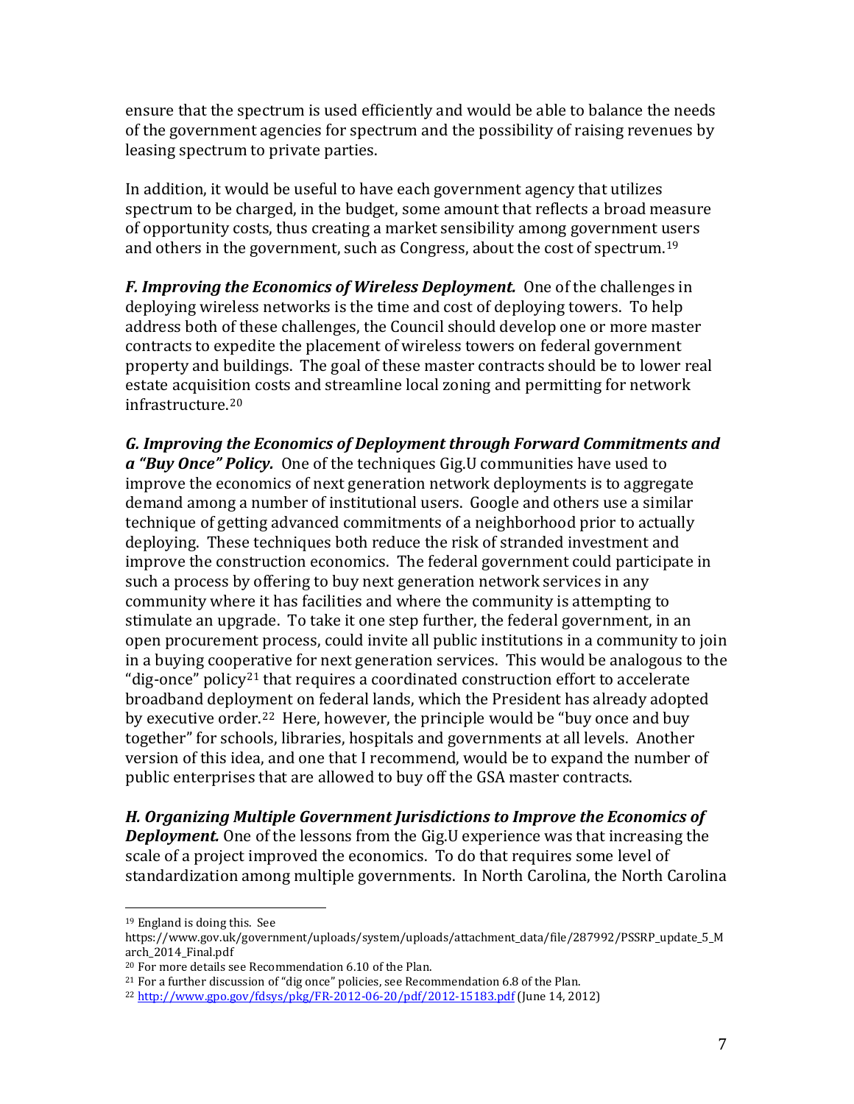ensure that the spectrum is used efficiently and would be able to balance the needs of the government agencies for spectrum and the possibility of raising revenues by leasing spectrum to private parties.

In addition, it would be useful to have each government agency that utilizes spectrum to be charged, in the budget, some amount that reflects a broad measure of opportunity costs, thus creating a market sensibility among government users and others in the government, such as Congress, about the cost of spectrum.[19](#page-7-0)

*F. Improving the Economics of Wireless Deployment.* One of the challenges in deploying wireless networks is the time and cost of deploying towers. To help address both of these challenges, the Council should develop one or more master contracts to expedite the placement of wireless towers on federal government property and buildings. The goal of these master contracts should be to lower real estate acquisition costs and streamline local zoning and permitting for network infrastructure.[20](#page-7-1)

*G. Improving the Economics of Deployment through Forward Commitments and a "Buy Once" Policy.* One of the techniques Gig.U communities have used to improve the economics of next generation network deployments is to aggregate demand among a number of institutional users. Google and others use a similar technique of getting advanced commitments of a neighborhood prior to actually deploying. These techniques both reduce the risk of stranded investment and improve the construction economics. The federal government could participate in such a process by offering to buy next generation network services in any community where it has facilities and where the community is attempting to stimulate an upgrade. To take it one step further, the federal government, in an open procurement process, could invite all public institutions in a community to join in a buying cooperative for next generation services. This would be analogous to the "dig-once" policy[21](#page-7-2) that requires a coordinated construction effort to accelerate broadband deployment on federal lands, which the President has already adopted by executive order.[22](#page-7-3) Here, however, the principle would be "buy once and buy together" for schools, libraries, hospitals and governments at all levels. Another version of this idea, and one that I recommend, would be to expand the number of public enterprises that are allowed to buy off the GSA master contracts.

*H. Organizing Multiple Government Jurisdictions to Improve the Economics of Deployment.* One of the lessons from the Gig.U experience was that increasing the scale of a project improved the economics. To do that requires some level of standardization among multiple governments. In North Carolina, the North Carolina

<span id="page-7-0"></span> <sup>19</sup> England is doing this. See

https://www.gov.uk/government/uploads/system/uploads/attachment\_data/file/287992/PSSRP\_update\_5\_M arch\_2014\_Final.pdf

<span id="page-7-1"></span><sup>20</sup> For more details see Recommendation 6.10 of the Plan.

<span id="page-7-2"></span><sup>21</sup> For a further discussion of "dig once" policies, see Recommendation 6.8 of the Plan.

<span id="page-7-3"></span><sup>22</sup> <http://www.gpo.gov/fdsys/pkg/FR-2012-06-20/pdf/2012-15183.pdf> (June 14, 2012)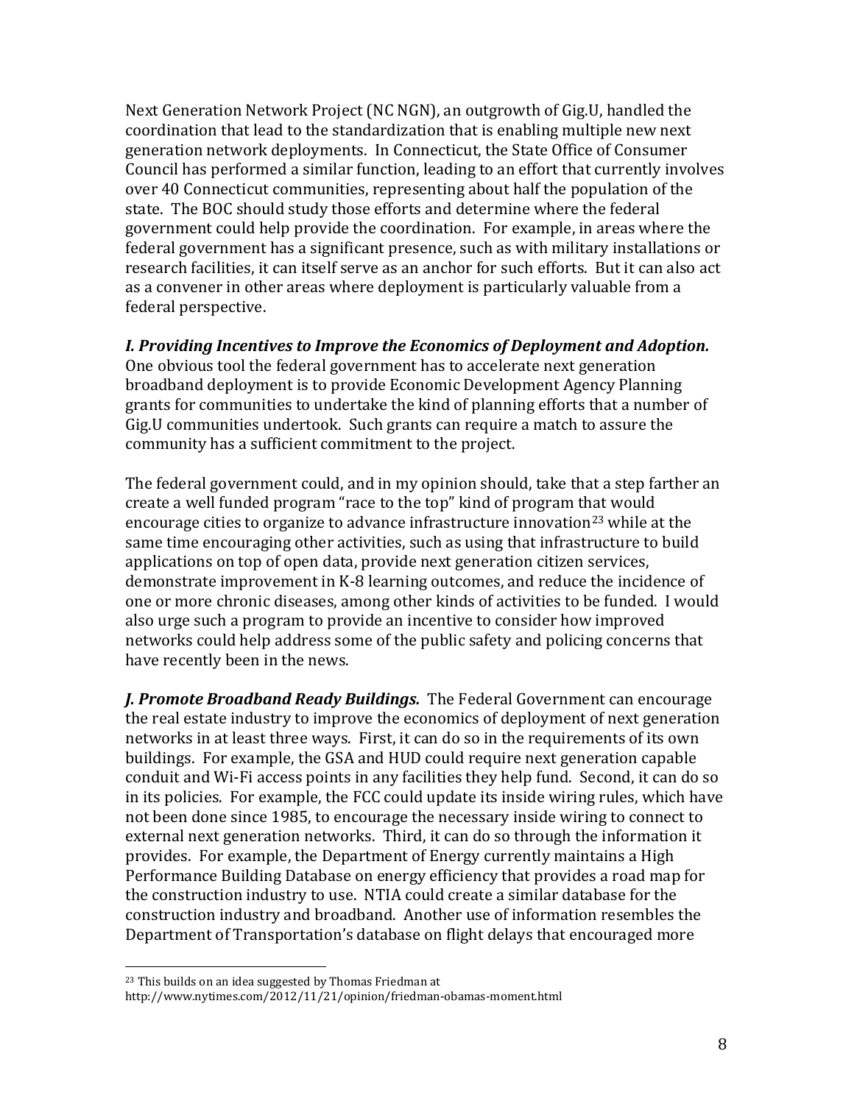Next Generation Network Project (NC NGN), an outgrowth of Gig.U, handled the coordination that lead to the standardization that is enabling multiple new next generation network deployments. In Connecticut, the State Office of Consumer Council has performed a similar function, leading to an effort that currently involves over 40 Connecticut communities, representing about half the population of the state. The BOC should study those efforts and determine where the federal government could help provide the coordination. For example, in areas where the federal government has a significant presence, such as with military installations or research facilities, it can itself serve as an anchor for such efforts. But it can also act as a convener in other areas where deployment is particularly valuable from a federal perspective.

#### *I. Providing Incentives to Improve the Economics of Deployment and Adoption.*

One obvious tool the federal government has to accelerate next generation broadband deployment is to provide Economic Development Agency Planning grants for communities to undertake the kind of planning efforts that a number of Gig.U communities undertook. Such grants can require a match to assure the community has a sufficient commitment to the project.

The federal government could, and in my opinion should, take that a step farther an create a well funded program "race to the top" kind of program that would encourage cities to organize to advance infrastructure innovation<sup>[23](#page-8-0)</sup> while at the same time encouraging other activities, such as using that infrastructure to build applications on top of open data, provide next generation citizen services, demonstrate improvement in K-8 learning outcomes, and reduce the incidence of one or more chronic diseases, among other kinds of activities to be funded. I would also urge such a program to provide an incentive to consider how improved networks could help address some of the public safety and policing concerns that have recently been in the news.

*J. Promote Broadband Ready Buildings.* The Federal Government can encourage the real estate industry to improve the economics of deployment of next generation networks in at least three ways. First, it can do so in the requirements of its own buildings. For example, the GSA and HUD could require next generation capable conduit and Wi-Fi access points in any facilities they help fund. Second, it can do so in its policies. For example, the FCC could update its inside wiring rules, which have not been done since 1985, to encourage the necessary inside wiring to connect to external next generation networks. Third, it can do so through the information it provides. For example, the Department of Energy currently maintains a High Performance Building Database on energy efficiency that provides a road map for the construction industry to use. NTIA could create a similar database for the construction industry and broadband. Another use of information resembles the Department of Transportation's database on flight delays that encouraged more

<span id="page-8-0"></span> <sup>23</sup> This builds on an idea suggested by Thomas Friedman at

http://www.nytimes.com/2012/11/21/opinion/friedman-obamas-moment.html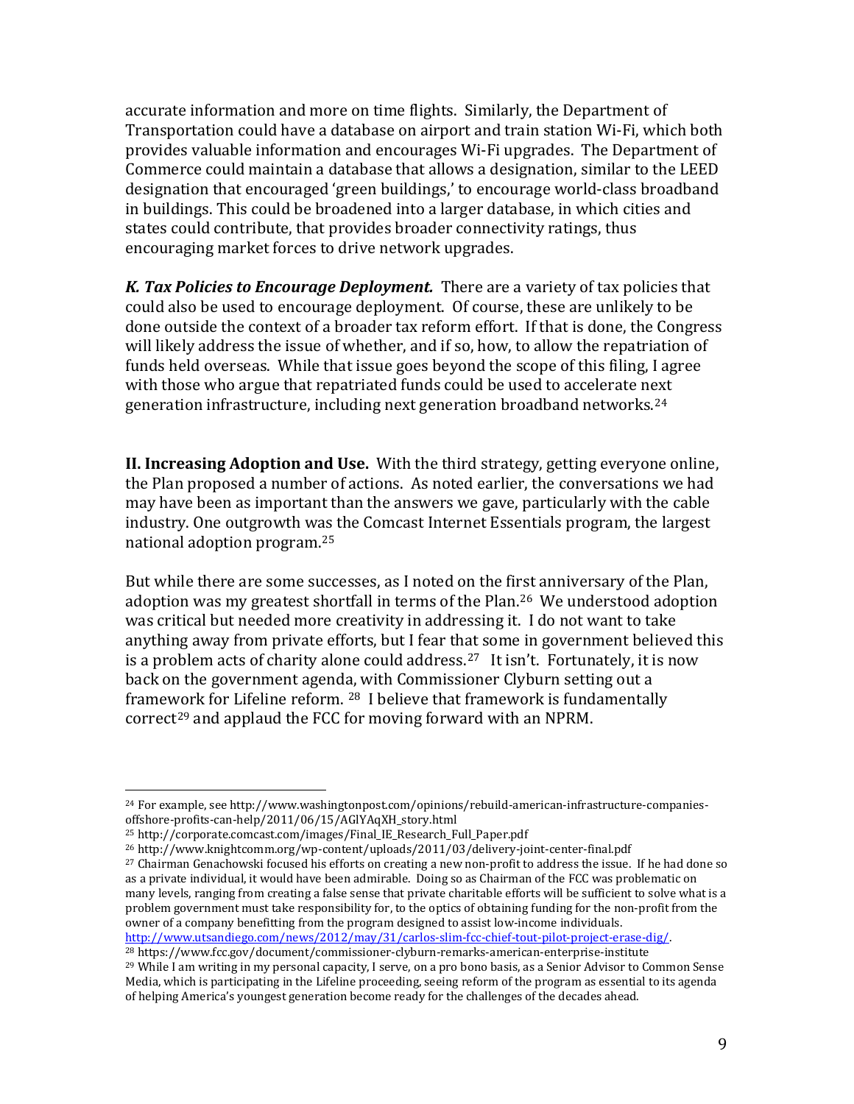accurate information and more on time flights. Similarly, the Department of Transportation could have a database on airport and train station Wi-Fi, which both provides valuable information and encourages Wi-Fi upgrades. The Department of Commerce could maintain a database that allows a designation, similar to the LEED designation that encouraged 'green buildings,' to encourage world-class broadband in buildings. This could be broadened into a larger database, in which cities and states could contribute, that provides broader connectivity ratings, thus encouraging market forces to drive network upgrades.

*K. Tax Policies to Encourage Deployment.* There are a variety of tax policies that could also be used to encourage deployment. Of course, these are unlikely to be done outside the context of a broader tax reform effort. If that is done, the Congress will likely address the issue of whether, and if so, how, to allow the repatriation of funds held overseas. While that issue goes beyond the scope of this filing, I agree with those who argue that repatriated funds could be used to accelerate next generation infrastructure, including next generation broadband networks.[24](#page-9-0) 

**II. Increasing Adoption and Use.** With the third strategy, getting everyone online, the Plan proposed a number of actions. As noted earlier, the conversations we had may have been as important than the answers we gave, particularly with the cable industry. One outgrowth was the Comcast Internet Essentials program, the largest national adoption program.[25](#page-9-1)

But while there are some successes, as I noted on the fi[rst](#page-9-2) anniversary of the Plan, adoption was my greatest shortfall in terms of the Plan. <sup>26</sup> We understood adoption was critical but needed more creativity in addressing it. I do not want to take anything away from private efforts, but I fear that some in government believed this is a problem acts of charity alone could address. [27](#page-9-3) It isn't. Fortunately, it is now back on the government agenda, with Commissioner Clyburn setting out a framework for Lifeline reform. [28](#page-9-4) I believe that framework is fundamentally correct<sup>[29](#page-9-5)</sup> and applaud the FCC for moving forward with an NPRM.

<sup>28</sup> https://www.fcc.gov/document/commissioner-clyburn-remarks-american-enterprise-institute

<span id="page-9-0"></span> <sup>24</sup> For example, see http://www.washingtonpost.com/opinions/rebuild-american-infrastructure-companiesoffshore-profits-can-help/2011/06/15/AGlYAqXH\_story.html

<span id="page-9-1"></span><sup>25</sup> http://corporate.comcast.com/images/Final\_IE\_Research\_Full\_Paper.pdf

<span id="page-9-2"></span><sup>26</sup> http://www.knightcomm.org/wp-content/uploads/2011/03/delivery-joint-center-final.pdf

<span id="page-9-3"></span><sup>27</sup> Chairman Genachowski focused his efforts on creating a new non-profit to address the issue. If he had done so as a private individual, it would have been admirable. Doing so as Chairman of the FCC was problematic on many levels, ranging from creating a false sense that private charitable efforts will be sufficient to solve what is a problem government must take responsibility for, to the optics of obtaining funding for the non-profit from the owner of a company benefitting from the program designed to assist low-income individuals.<br>http://www.utsandiego.com/news/2012/may/31/carlos-slim-fcc-chief-tout-pilot-project-erase-dig/.

<span id="page-9-5"></span><span id="page-9-4"></span><sup>&</sup>lt;sup>29</sup> While I am writing in my personal capacity, I serve, on a pro bono basis, as a Senior Advisor to Common Sense Media, which is participating in the Lifeline proceeding, seeing reform of the program as essential to its agenda of helping America's youngest generation become ready for the challenges of the decades ahead.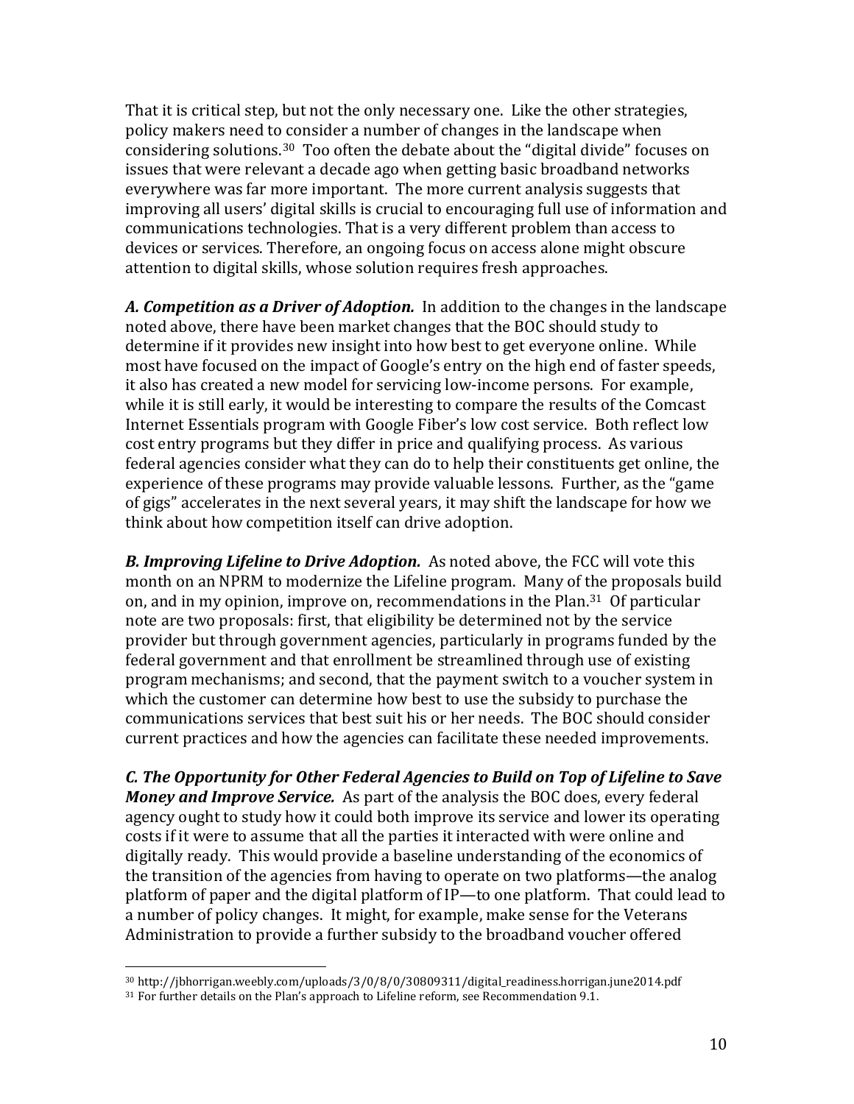That it is critical step, but not the only necessary one. Like the other strategies, policy makers need to consider a number of changes in the landscape when considering solutions.[30](#page-10-0) Too often the debate about the "digital divide" focuses on issues that were relevant a decade ago when getting basic broadband networks everywhere was far more important. The more current analysis suggests that improving all users' digital skills is crucial to encouraging full use of information and communications technologies. That is a very different problem than access to devices or services. Therefore, an ongoing focus on access alone might obscure attention to digital skills, whose solution requires fresh approaches.

*A. Competition as a Driver of Adoption.* In addition to the changes in the landscape noted above, there have been market changes that the BOC should study to determine if it provides new insight into how best to get everyone online. While most have focused on the impact of Google's entry on the high end of faster speeds, it also has created a new model for servicing low-income persons. For example, while it is still early, it would be interesting to compare the results of the Comcast Internet Essentials program with Google Fiber's low cost service. Both reflect low cost entry programs but they differ in price and qualifying process. As various federal agencies consider what they can do to help their constituents get online, the experience of these programs may provide valuable lessons. Further, as the "game of gigs" accelerates in the next several years, it may shift the landscape for how we think about how competition itself can drive adoption.

*B. Improving Lifeline to Drive Adoption.* As noted above, the FCC will vote this month on an NPRM to modernize the Lifeline program. Many of the proposals build on, and in my opinion, improve on, recommendations in the Plan.[31](#page-10-1) Of particular note are two proposals: first, that eligibility be determined not by the service provider but through government agencies, particularly in programs funded by the federal government and that enrollment be streamlined through use of existing program mechanisms; and second, that the payment switch to a voucher system in which the customer can determine how best to use the subsidy to purchase the communications services that best suit his or her needs. The BOC should consider current practices and how the agencies can facilitate these needed improvements.

*C. The Opportunity for Other Federal Agencies to Build on Top of Lifeline to Save Money and Improve Service.* As part of the analysis the BOC does, every federal agency ought to study how it could both improve its service and lower its operating costs if it were to assume that all the parties it interacted with were online and digitally ready. This would provide a baseline understanding of the economics of the transition of the agencies from having to operate on two platforms—the analog platform of paper and the digital platform of IP—to one platform. That could lead to a number of policy changes. It might, for example, make sense for the Veterans Administration to provide a further subsidy to the broadband voucher offered

<span id="page-10-0"></span> <sup>30</sup> http://jbhorrigan.weebly.com/uploads/3/0/8/0/30809311/digital\_readiness.horrigan.june2014.pdf

<span id="page-10-1"></span><sup>&</sup>lt;sup>31</sup> For further details on the Plan's approach to Lifeline reform, see Recommendation 9.1.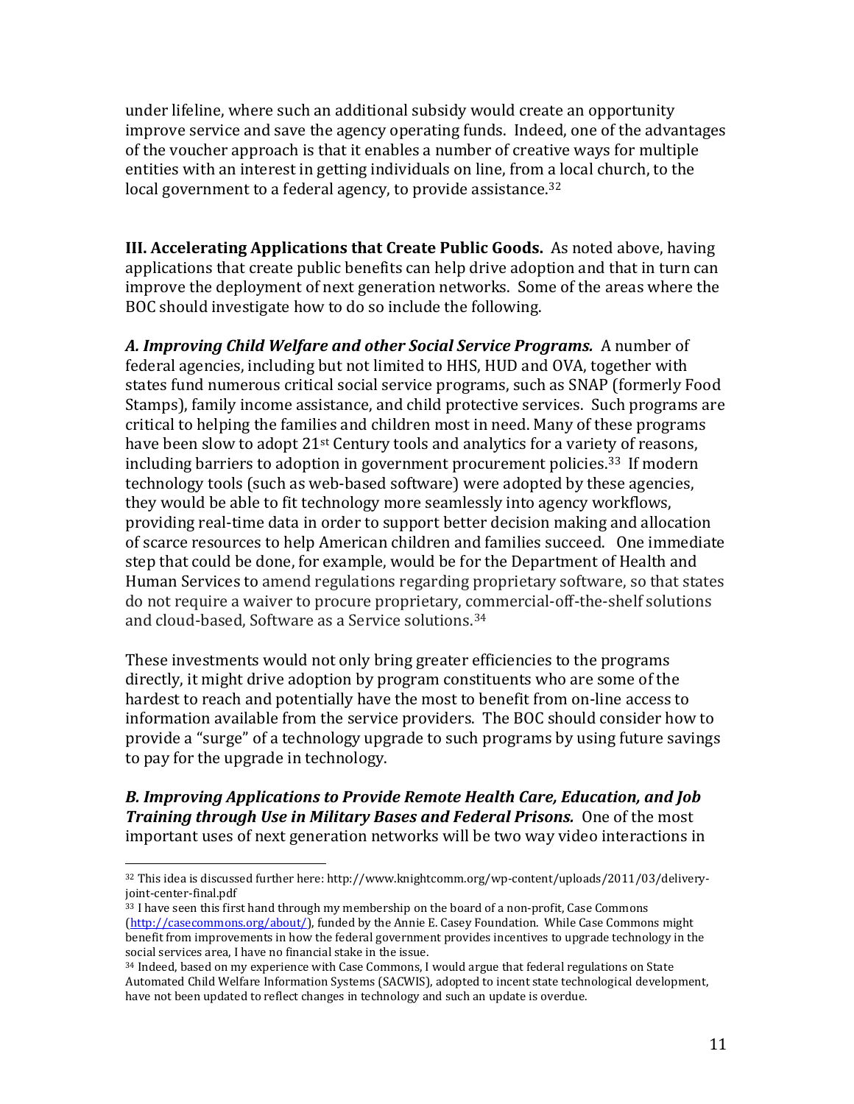under lifeline, where such an additional subsidy would create an opportunity improve service and save the agency operating funds. Indeed, one of the advantages of the voucher approach is that it enables a number of creative ways for multiple entities with an interest in getting individuals on line, from a local church, to the local government to a federal agency, to provide assistance.<sup>[32](#page-11-0)</sup>

**III. Accelerating Applications that Create Public Goods.** As noted above, having applications that create public benefits can help drive adoption and that in turn can improve the deployment of next generation networks. Some of the areas where the BOC should investigate how to do so include the following.

*A. Improving Child Welfare and other Social Service Programs.* A number of federal agencies, including but not limited to HHS, HUD and OVA, together with states fund numerous critical social service programs, such as SNAP (formerly Food Stamps), family income assistance, and child protective services. Such programs are critical to helping the families and children most in need. Many of these programs have been slow to adopt 21<sup>st</sup> Century tools and analytics for a variety of reasons, including barriers to adoption in government procurement policies.[33](#page-11-1) If modern technology tools (such as web-based software) were adopted by these agencies, they would be able to fit technology more seamlessly into agency workflows, providing real-time data in order to support better decision making and allocation of scarce resources to help American children and families succeed. One immediate step that could be done, for example, would be for the Department of Health and Human Services to amend regulations regarding proprietary software, so that states do not require a waiver to procure proprietary, commercial-off-the-shelf solutions and cloud-based, Software as a Service solutions.[34](#page-11-2)

These investments would not only bring greater efficiencies to the programs directly, it might drive adoption by program constituents who are some of the hardest to reach and potentially have the most to benefit from on-line access to information available from the service providers. The BOC should consider how to provide a "surge" of a technology upgrade to such programs by using future savings to pay for the upgrade in technology.

*B. Improving Applications to Provide Remote Health Care, Education, and Job Training through Use in Military Bases and Federal Prisons.* One of the most important uses of next generation networks will be two way video interactions in

<span id="page-11-0"></span> <sup>32</sup> This idea is discussed further here: http://www.knightcomm.org/wp-content/uploads/2011/03/deliveryjoint-center-final.pdf

<span id="page-11-1"></span><sup>&</sup>lt;sup>33</sup> I have seen this first hand through my membership on the board of a non-profit, Case Commons [\(http://casecommons.org/about/\)](http://casecommons.org/about/), funded by the Annie E. Casey Foundation. While Case Commons might benefit from improvements in how the federal government provides incentives to upgrade technology in the social services area, I have no financial stake in the issue.

<span id="page-11-2"></span><sup>&</sup>lt;sup>34</sup> Indeed, based on my experience with Case Commons, I would argue that federal regulations on State Automated Child Welfare Information Systems (SACWIS), adopted to incent state technological development, have not been updated to reflect changes in technology and such an update is overdue.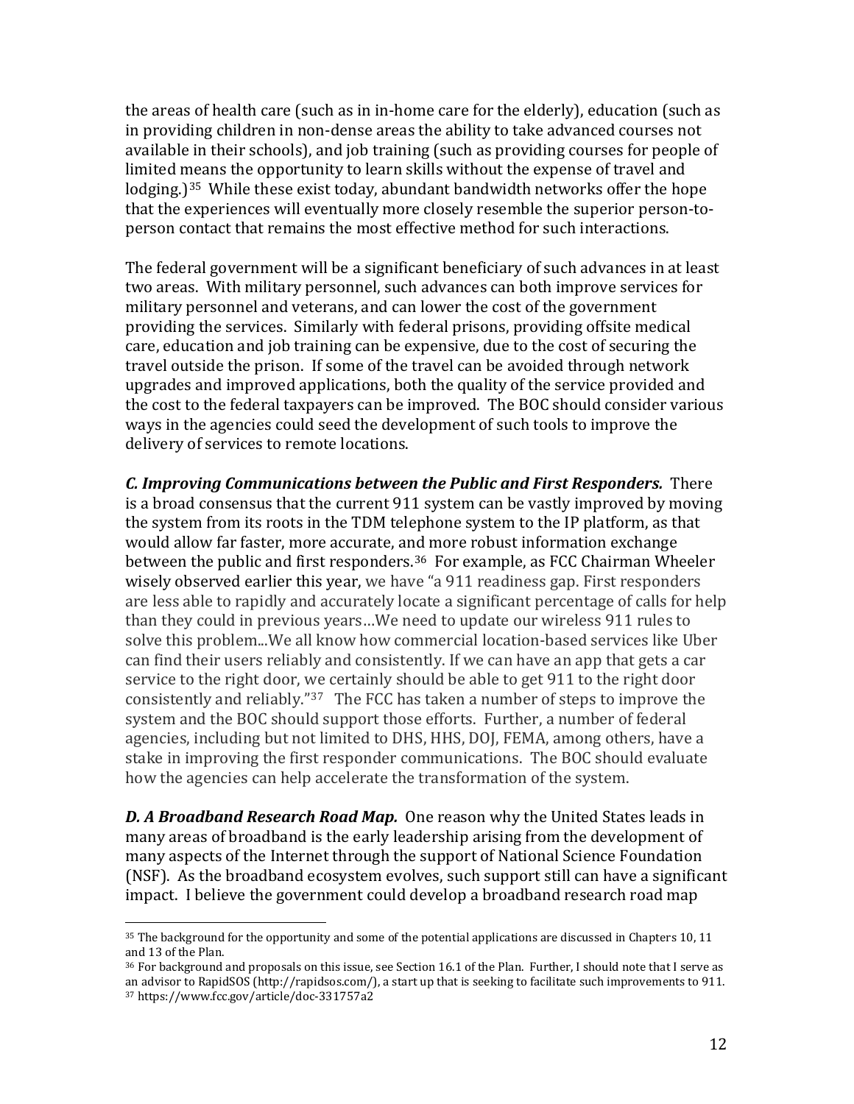the areas of health care (such as in in-home care for the elderly), education (such as in providing children in non-dense areas the ability to take advanced courses not available in their schools), and job training (such as providing courses for people of limited means the opportunity to learn skills without the expense of travel and lodging.)<sup>35</sup> While these exist today, abundant bandwidth networks offer the hope that the experiences will eventually more closely resemble the superior person-toperson contact that remains the most effective method for such interactions.

The federal government will be a significant beneficiary of such advances in at least two areas. With military personnel, such advances can both improve services for military personnel and veterans, and can lower the cost of the government providing the services. Similarly with federal prisons, providing offsite medical care, education and job training can be expensive, due to the cost of securing the travel outside the prison. If some of the travel can be avoided through network upgrades and improved applications, both the quality of the service provided and the cost to the federal taxpayers can be improved. The BOC should consider various ways in the agencies could seed the development of such tools to improve the delivery of services to remote locations.

*C. Improving Communications between the Public and First Responders.* There is a broad consensus that the current 911 system can be vastly improved by moving the system from its roots in the TDM telephone system to the IP platform, as that would allow far faster, more accurate, and more robust information exchange between the public and first responders.<sup>[36](#page-12-1)</sup> For example, as FCC Chairman Wheeler wisely observed earlier this year, we have "a 911 readiness gap. First responders are less able to rapidly and accurately locate a significant percentage of calls for help than they could in previous years…We need to update our wireless 911 rules to solve this problem...We all know how commercial location-based services like Uber can find their users reliably and consistently. If we can have an app that gets a car service to the right door, we certainly should be able to get 911 to the right door consistently and reliably."[37](#page-12-2) The FCC has taken a number of steps to improve the system and the BOC should support those efforts. Further, a number of federal agencies, including but not limited to DHS, HHS, DOJ, FEMA, among others, have a stake in improving the first responder communications. The BOC should evaluate how the agencies can help accelerate the transformation of the system.

*D. A Broadband Research Road Map.* One reason why the United States leads in many areas of broadband is the early leadership arising from the development of many aspects of the Internet through the support of National Science Foundation (NSF). As the broadband ecosystem evolves, such support still can have a significant impact. I believe the government could develop a broadband research road map

<span id="page-12-0"></span> <sup>35</sup> The background for the opportunity and some of the potential applications are discussed in Chapters 10, 11 and 13 of the Plan.

<span id="page-12-2"></span><span id="page-12-1"></span><sup>36</sup> For background and proposals on this issue, see Section 16.1 of the Plan. Further, I should note that I serve as an advisor to RapidSOS (http://rapidsos.com/), a start up that is seeking to facilitate such improvements to 911. <sup>37</sup> https://www.fcc.gov/article/doc-331757a2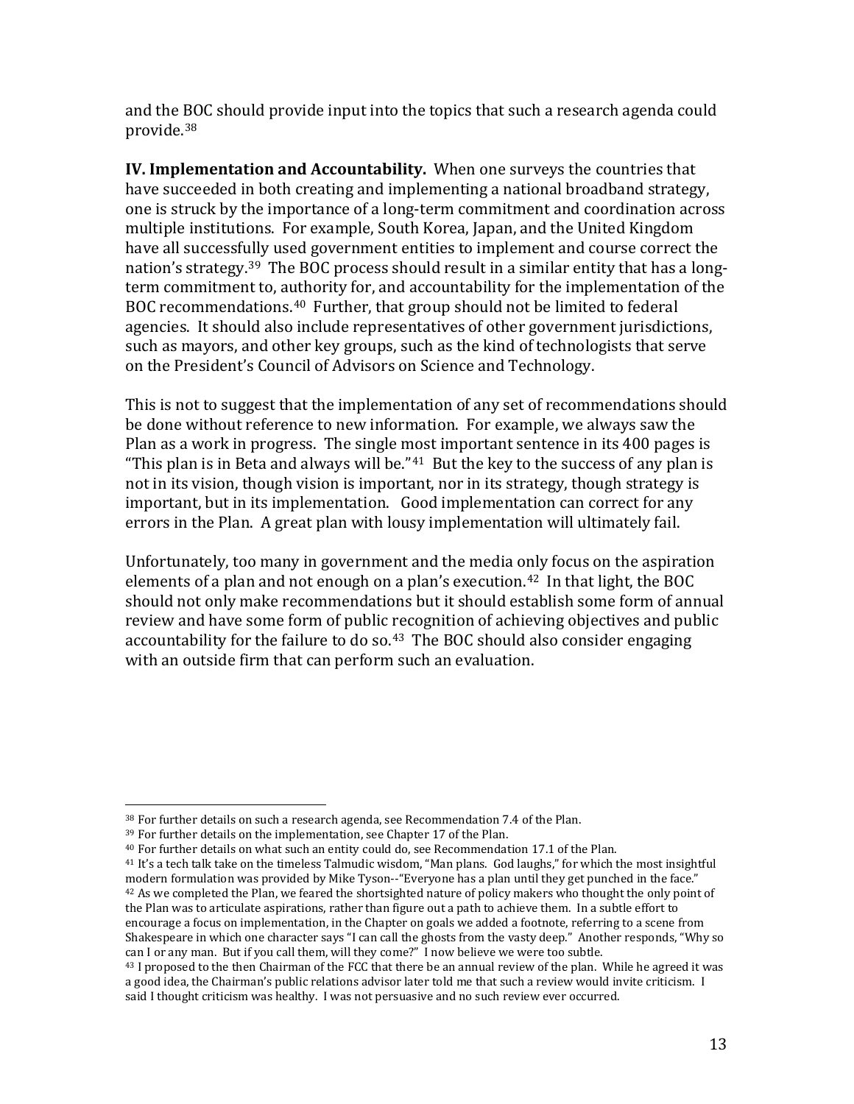and the BOC should provide input into the topics that such a research agenda could provide.[38](#page-13-0)

**IV. Implementation and Accountability.** When one surveys the countries that have succeeded in both creating and implementing a national broadband strategy, one is struck by the importance of a long-term commitment and coordination across multiple institutions. For example, South Korea, Japan, and the United Kingdom have all successfully used government entities to implement and course correct the nation's strategy. [39](#page-13-1) The BOC process should result in a similar entity that has a longterm commitment to, authority for, and accountability for the implementation of the BOC recommendations.[40](#page-13-2) Further, that group should not be limited to federal agencies. It should also include representatives of other government jurisdictions, such as mayors, and other key groups, such as the kind of technologists that serve on the President's Council of Advisors on Science and Technology.

This is not to suggest that the implementation of any set of recommendations should be done without reference to new information. For example, we always saw the Plan as a work in progress. The single most important sentence in its 400 pages is "This plan is in Beta and always will be." $41$  But the key to the success of any plan is not in its vision, though vision is important, nor in its strategy, though strategy is important, but in its implementation. Good implementation can correct for any errors in the Plan. A great plan with lousy implementation will ultimately fail.

Unfortunately, too many in government and the media only focus on the aspiration elements of a plan and not enough on a plan's execution.<sup>[42](#page-13-4)</sup> In that light, the BOC should not only make recommendations but it should establish some form of annual review and have some form of public recognition of achieving objectives and public accountability for the failure to do so.<sup>[43](#page-13-5)</sup> The BOC should also consider engaging with an outside firm that can perform such an evaluation.

<span id="page-13-0"></span> $38$  For further details on such a research agenda, see Recommendation 7.4 of the Plan.<br> $39$  For further details on the implementation, see Chapter 17 of the Plan.

<span id="page-13-1"></span>

<span id="page-13-2"></span><sup>&</sup>lt;sup>40</sup> For further details on what such an entity could do, see Recommendation 17.1 of the Plan.

<span id="page-13-4"></span><span id="page-13-3"></span><sup>41</sup> It's a tech talk take on the timeless Talmudic wisdom, "Man plans. God laughs," for which the most insightful modern formulation was provided by Mike Tyson--"Everyone has a plan until they get punched in the face." <sup>42</sup> As we completed the Plan, we feared the shortsighted nature of policy makers who thought the only point of the Plan was to articulate aspirations, rather than figure out a path to achieve them. In a subtle effort to encourage a focus on implementation, in the Chapter on goals we added a footnote, referring to a scene from Shakespeare in which one character says "I can call the ghosts from the vasty deep." Another responds, "Why so can I or any man. But if you call them, will they come?" I now believe we were too subtle.

<span id="page-13-5"></span><sup>&</sup>lt;sup>43</sup> I proposed to the then Chairman of the FCC that there be an annual review of the plan. While he agreed it was a good idea, the Chairman's public relations advisor later told me that such a review would invite criticism. I said I thought criticism was healthy. I was not persuasive and no such review ever occurred.